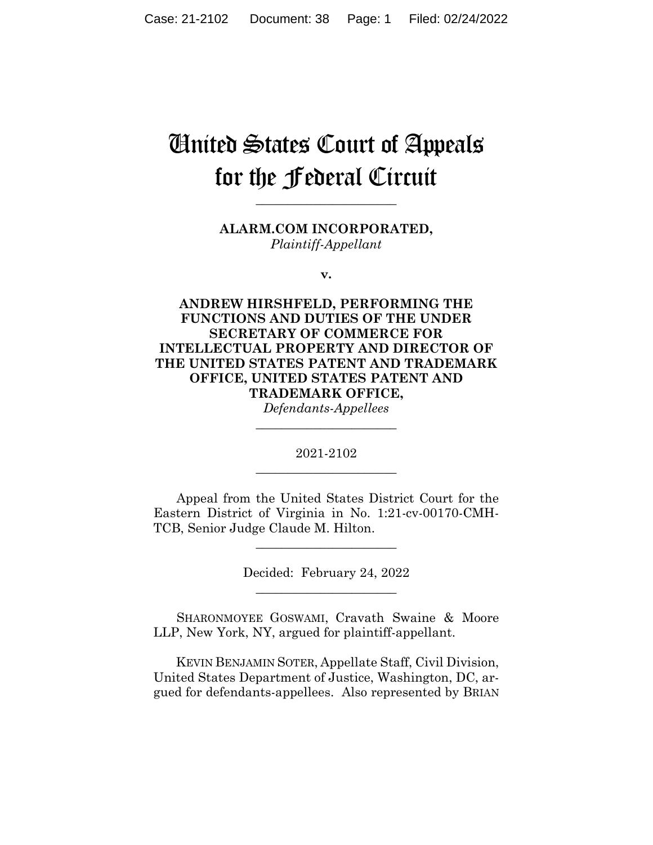# United States Court of Appeals for the Federal Circuit

**ALARM.COM INCORPORATED,** *Plaintiff-Appellant*

**\_\_\_\_\_\_\_\_\_\_\_\_\_\_\_\_\_\_\_\_\_\_** 

**v.**

**ANDREW HIRSHFELD, PERFORMING THE FUNCTIONS AND DUTIES OF THE UNDER SECRETARY OF COMMERCE FOR INTELLECTUAL PROPERTY AND DIRECTOR OF THE UNITED STATES PATENT AND TRADEMARK OFFICE, UNITED STATES PATENT AND TRADEMARK OFFICE,**

*Defendants-Appellees* **\_\_\_\_\_\_\_\_\_\_\_\_\_\_\_\_\_\_\_\_\_\_** 

2021-2102 **\_\_\_\_\_\_\_\_\_\_\_\_\_\_\_\_\_\_\_\_\_\_** 

Appeal from the United States District Court for the Eastern District of Virginia in No. 1:21-cv-00170-CMH-TCB, Senior Judge Claude M. Hilton.

\_\_\_\_\_\_\_\_\_\_\_\_\_\_\_\_\_\_\_\_\_\_

Decided: February 24, 2022 \_\_\_\_\_\_\_\_\_\_\_\_\_\_\_\_\_\_\_\_\_\_

SHARONMOYEE GOSWAMI, Cravath Swaine & Moore LLP, New York, NY, argued for plaintiff-appellant.

 KEVIN BENJAMIN SOTER, Appellate Staff, Civil Division, United States Department of Justice, Washington, DC, argued for defendants-appellees. Also represented by BRIAN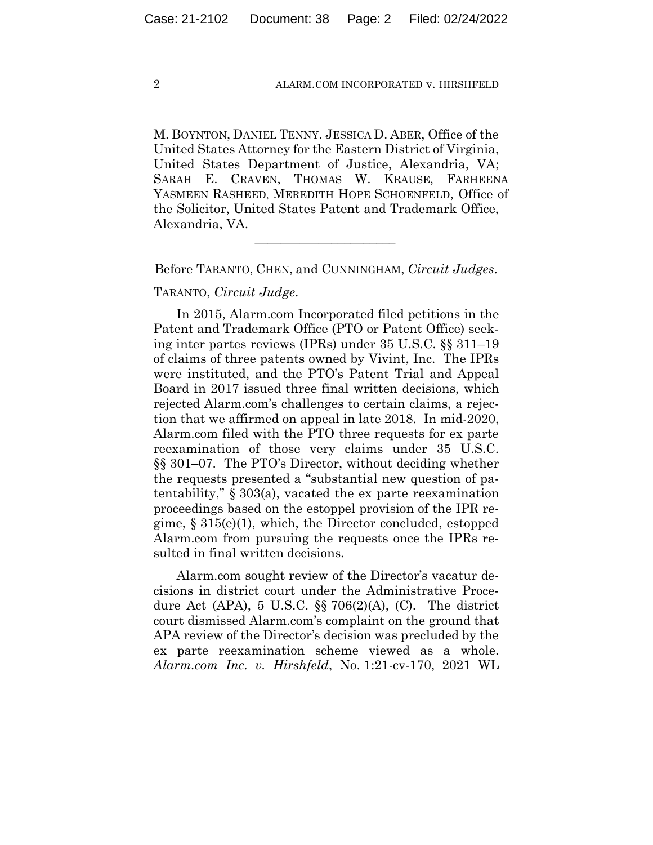M. BOYNTON, DANIEL TENNY. JESSICA D. ABER, Office of the United States Attorney for the Eastern District of Virginia, United States Department of Justice, Alexandria, VA; SARAH E. CRAVEN, THOMAS W. KRAUSE, FARHEENA YASMEEN RASHEED, MEREDITH HOPE SCHOENFELD, Office of the Solicitor, United States Patent and Trademark Office, Alexandria, VA.

Before TARANTO, CHEN, and CUNNINGHAM, *Circuit Judges*.

 $\overline{\phantom{a}}$  , where the contract of the contract of the contract of the contract of the contract of the contract of the contract of the contract of the contract of the contract of the contract of the contract of the contr

TARANTO, *Circuit Judge*.

In 2015, Alarm.com Incorporated filed petitions in the Patent and Trademark Office (PTO or Patent Office) seeking inter partes reviews (IPRs) under 35 U.S.C. §§ 311–19 of claims of three patents owned by Vivint, Inc. The IPRs were instituted, and the PTO's Patent Trial and Appeal Board in 2017 issued three final written decisions, which rejected Alarm.com's challenges to certain claims, a rejection that we affirmed on appeal in late 2018. In mid-2020, Alarm.com filed with the PTO three requests for ex parte reexamination of those very claims under 35 U.S.C. §§ 301–07. The PTO's Director, without deciding whether the requests presented a "substantial new question of patentability," § 303(a), vacated the ex parte reexamination proceedings based on the estoppel provision of the IPR regime, § 315(e)(1), which, the Director concluded, estopped Alarm.com from pursuing the requests once the IPRs resulted in final written decisions.

Alarm.com sought review of the Director's vacatur decisions in district court under the Administrative Procedure Act (APA), 5 U.S.C.  $\S$  706(2)(A), (C). The district court dismissed Alarm.com's complaint on the ground that APA review of the Director's decision was precluded by the ex parte reexamination scheme viewed as a whole. *Alarm.com Inc. v. Hirshfeld*, No. 1:21-cv-170, 2021 WL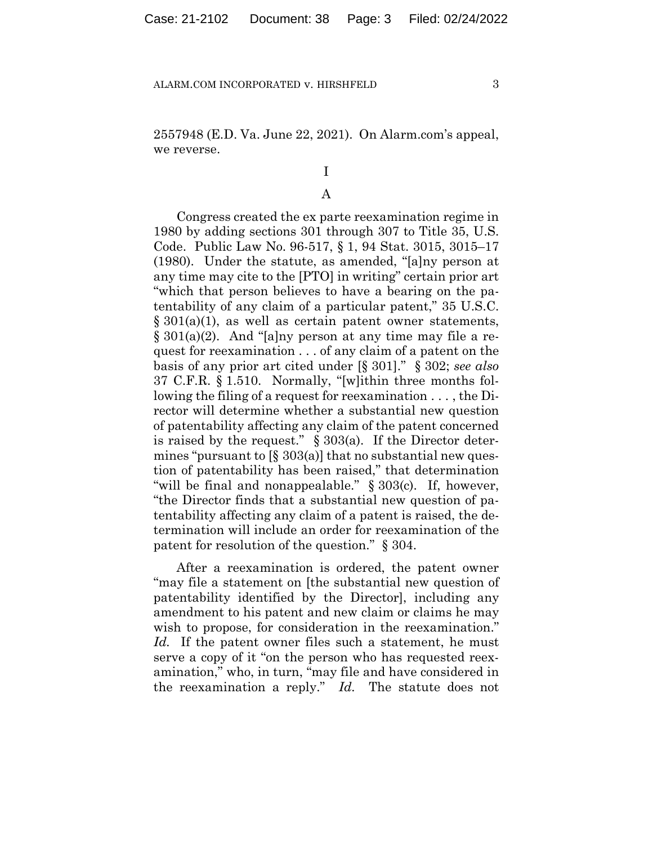2557948 (E.D. Va. June 22, 2021). On Alarm.com's appeal, we reverse.

## I

## A

Congress created the ex parte reexamination regime in 1980 by adding sections 301 through 307 to Title 35, U.S. Code. Public Law No. 96-517, § 1, 94 Stat. 3015, 3015–17 (1980). Under the statute, as amended, "[a]ny person at any time may cite to the [PTO] in writing" certain prior art "which that person believes to have a bearing on the patentability of any claim of a particular patent," 35 U.S.C. § 301(a)(1), as well as certain patent owner statements, § 301(a)(2). And "[a]ny person at any time may file a request for reexamination . . . of any claim of a patent on the basis of any prior art cited under [§ 301]." § 302; *see also*  37 C.F.R. § 1.510. Normally, "[w]ithin three months following the filing of a request for reexamination . . . , the Director will determine whether a substantial new question of patentability affecting any claim of the patent concerned is raised by the request." § 303(a). If the Director determines "pursuant to  $[\S 303(a)]$  that no substantial new question of patentability has been raised," that determination "will be final and nonappealable." § 303(c). If, however, "the Director finds that a substantial new question of patentability affecting any claim of a patent is raised, the determination will include an order for reexamination of the patent for resolution of the question." § 304.

After a reexamination is ordered, the patent owner "may file a statement on [the substantial new question of patentability identified by the Director], including any amendment to his patent and new claim or claims he may wish to propose, for consideration in the reexamination." *Id.* If the patent owner files such a statement, he must serve a copy of it "on the person who has requested reexamination," who, in turn, "may file and have considered in the reexamination a reply." *Id.* The statute does not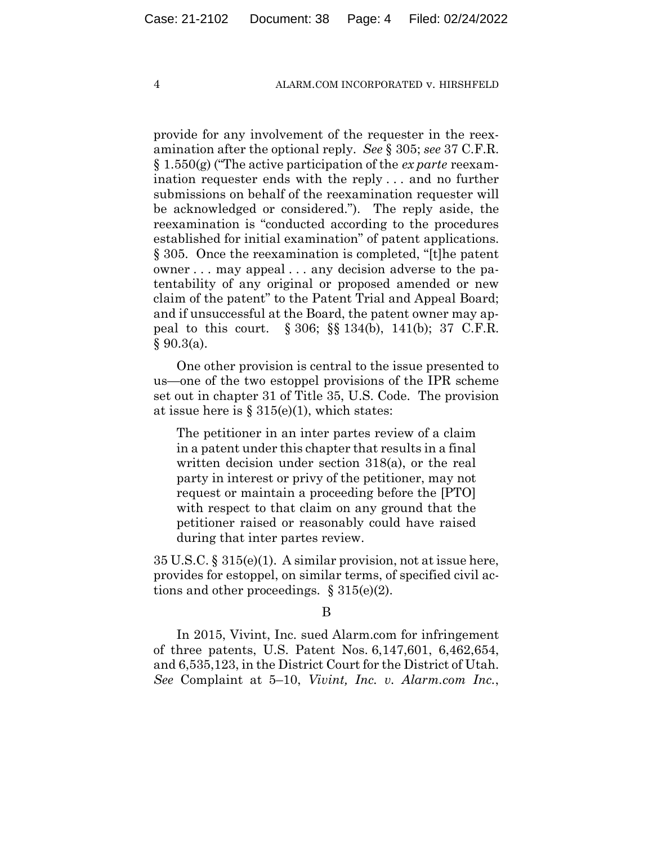provide for any involvement of the requester in the reexamination after the optional reply. *See* § 305; *see* 37 C.F.R. § 1.550(g) ("The active participation of the *ex parte* reexamination requester ends with the reply . . . and no further submissions on behalf of the reexamination requester will be acknowledged or considered."). The reply aside, the reexamination is "conducted according to the procedures established for initial examination" of patent applications. § 305. Once the reexamination is completed, "[t]he patent owner . . . may appeal . . . any decision adverse to the patentability of any original or proposed amended or new claim of the patent" to the Patent Trial and Appeal Board; and if unsuccessful at the Board, the patent owner may appeal to this court. § 306; §§ 134(b), 141(b); 37 C.F.R.  $§ 90.3(a).$ 

One other provision is central to the issue presented to us—one of the two estoppel provisions of the IPR scheme set out in chapter 31 of Title 35, U.S. Code. The provision at issue here is  $\S 315(e)(1)$ , which states:

The petitioner in an inter partes review of a claim in a patent under this chapter that results in a final written decision under section 318(a), or the real party in interest or privy of the petitioner, may not request or maintain a proceeding before the [PTO] with respect to that claim on any ground that the petitioner raised or reasonably could have raised during that inter partes review.

35 U.S.C. § 315(e)(1). A similar provision, not at issue here, provides for estoppel, on similar terms, of specified civil actions and other proceedings.  $\S 315(e)(2)$ .

#### B

In 2015, Vivint, Inc. sued Alarm.com for infringement of three patents, U.S. Patent Nos. 6,147,601, 6,462,654, and 6,535,123, in the District Court for the District of Utah. *See* Complaint at 5–10, *Vivint, Inc. v. Alarm.com Inc.*,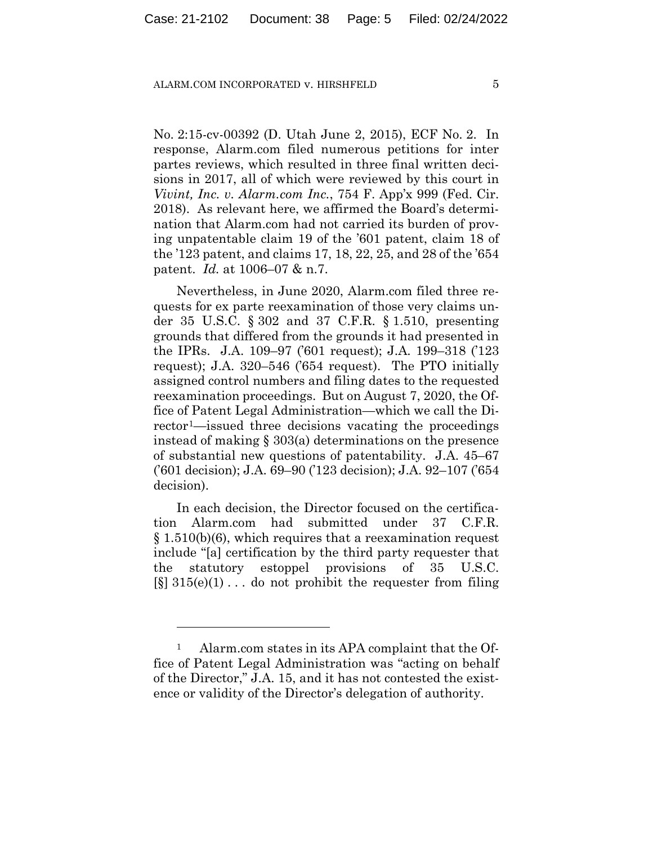No. 2:15-cv-00392 (D. Utah June 2, 2015), ECF No. 2. In response, Alarm.com filed numerous petitions for inter partes reviews, which resulted in three final written decisions in 2017, all of which were reviewed by this court in *Vivint, Inc. v. Alarm.com Inc.*, 754 F. App'x 999 (Fed. Cir. 2018). As relevant here, we affirmed the Board's determination that Alarm.com had not carried its burden of proving unpatentable claim 19 of the '601 patent, claim 18 of the '123 patent, and claims 17, 18, 22, 25, and 28 of the '654 patent. *Id.* at 1006–07 & n.7.

Nevertheless, in June 2020, Alarm.com filed three requests for ex parte reexamination of those very claims under 35 U.S.C. § 302 and 37 C.F.R. § 1.510, presenting grounds that differed from the grounds it had presented in the IPRs. J.A. 109–97 ('601 request); J.A. 199–318 ('123 request); J.A. 320–546 ('654 request).The PTO initially assigned control numbers and filing dates to the requested reexamination proceedings. But on August 7, 2020, the Office of Patent Legal Administration—which we call the Director1—issued three decisions vacating the proceedings instead of making § 303(a) determinations on the presence of substantial new questions of patentability. J.A. 45–67 ('601 decision); J.A. 69–90 ('123 decision); J.A. 92–107 ('654 decision).

In each decision, the Director focused on the certification Alarm.com had submitted under 37 C.F.R. § 1.510(b)(6), which requires that a reexamination request include "[a] certification by the third party requester that the statutory estoppel provisions of 35 U.S.C.  $\lceil \xi \rceil$  315(e)(1)... do not prohibit the requester from filing

<sup>1</sup> Alarm.com states in its APA complaint that the Office of Patent Legal Administration was "acting on behalf of the Director," J.A. 15, and it has not contested the existence or validity of the Director's delegation of authority.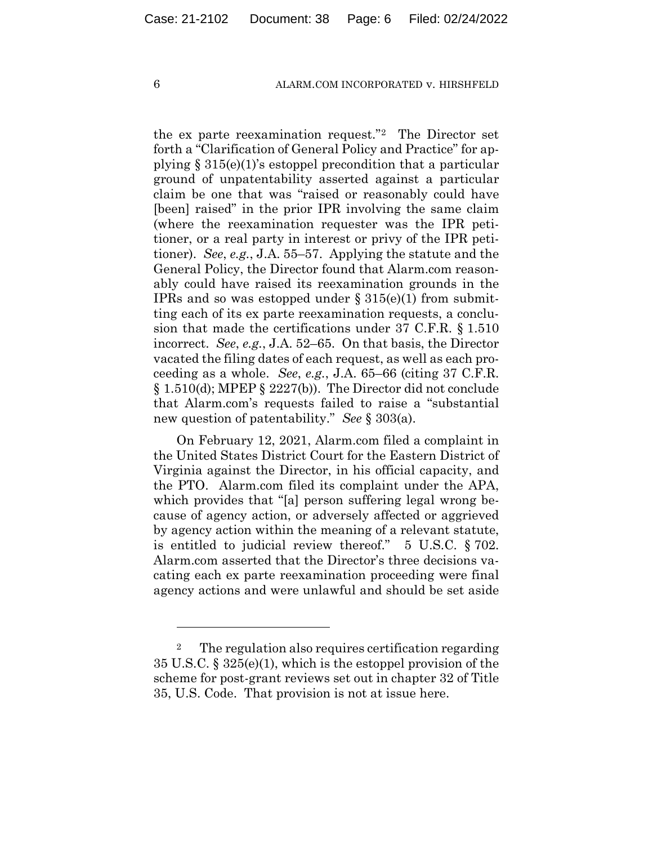the ex parte reexamination request."2 The Director set forth a "Clarification of General Policy and Practice" for applying § 315(e)(1)'s estoppel precondition that a particular ground of unpatentability asserted against a particular claim be one that was "raised or reasonably could have [been] raised" in the prior IPR involving the same claim (where the reexamination requester was the IPR petitioner, or a real party in interest or privy of the IPR petitioner). *See*, *e.g.*, J.A. 55–57. Applying the statute and the General Policy, the Director found that Alarm.com reasonably could have raised its reexamination grounds in the IPRs and so was estopped under  $\S 315(e)(1)$  from submitting each of its ex parte reexamination requests, a conclusion that made the certifications under 37 C.F.R. § 1.510 incorrect. *See*, *e.g.*, J.A. 52–65.On that basis, the Director vacated the filing dates of each request, as well as each proceeding as a whole. *See*, *e.g.*, J.A. 65–66 (citing 37 C.F.R. § 1.510(d); MPEP § 2227(b)). The Director did not conclude that Alarm.com's requests failed to raise a "substantial new question of patentability." *See* § 303(a).

On February 12, 2021, Alarm.com filed a complaint in the United States District Court for the Eastern District of Virginia against the Director, in his official capacity, and the PTO. Alarm.com filed its complaint under the APA, which provides that "[a] person suffering legal wrong because of agency action, or adversely affected or aggrieved by agency action within the meaning of a relevant statute, is entitled to judicial review thereof." 5 U.S.C. § 702. Alarm.com asserted that the Director's three decisions vacating each ex parte reexamination proceeding were final agency actions and were unlawful and should be set aside

<sup>&</sup>lt;sup>2</sup> The regulation also requires certification regarding 35 U.S.C. § 325(e)(1), which is the estoppel provision of the scheme for post-grant reviews set out in chapter 32 of Title 35, U.S. Code. That provision is not at issue here.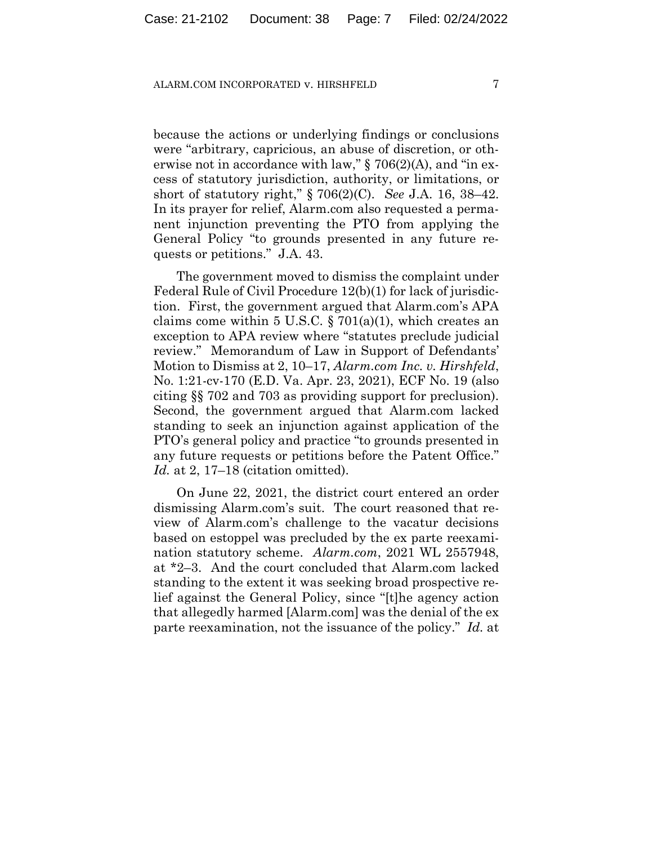because the actions or underlying findings or conclusions were "arbitrary, capricious, an abuse of discretion, or otherwise not in accordance with law," § 706(2)(A), and "in excess of statutory jurisdiction, authority, or limitations, or short of statutory right," § 706(2)(C). *See* J.A. 16, 38–42. In its prayer for relief, Alarm.com also requested a permanent injunction preventing the PTO from applying the General Policy "to grounds presented in any future requests or petitions." J.A. 43.

The government moved to dismiss the complaint under Federal Rule of Civil Procedure 12(b)(1) for lack of jurisdiction.First, the government argued that Alarm.com's APA claims come within 5 U.S.C.  $\S 701(a)(1)$ , which creates an exception to APA review where "statutes preclude judicial review." Memorandum of Law in Support of Defendants' Motion to Dismiss at 2, 10–17, *Alarm.com Inc. v. Hirshfeld*, No. 1:21-cv-170 (E.D. Va. Apr. 23, 2021), ECF No. 19 (also citing §§ 702 and 703 as providing support for preclusion). Second, the government argued that Alarm.com lacked standing to seek an injunction against application of the PTO's general policy and practice "to grounds presented in any future requests or petitions before the Patent Office." *Id.* at 2, 17–18 (citation omitted).

On June 22, 2021, the district court entered an order dismissing Alarm.com's suit. The court reasoned that review of Alarm.com's challenge to the vacatur decisions based on estoppel was precluded by the ex parte reexamination statutory scheme. *Alarm.com*, 2021 WL 2557948, at \*2–3. And the court concluded that Alarm.com lacked standing to the extent it was seeking broad prospective relief against the General Policy, since "[t]he agency action that allegedly harmed [Alarm.com] was the denial of the ex parte reexamination, not the issuance of the policy." *Id.* at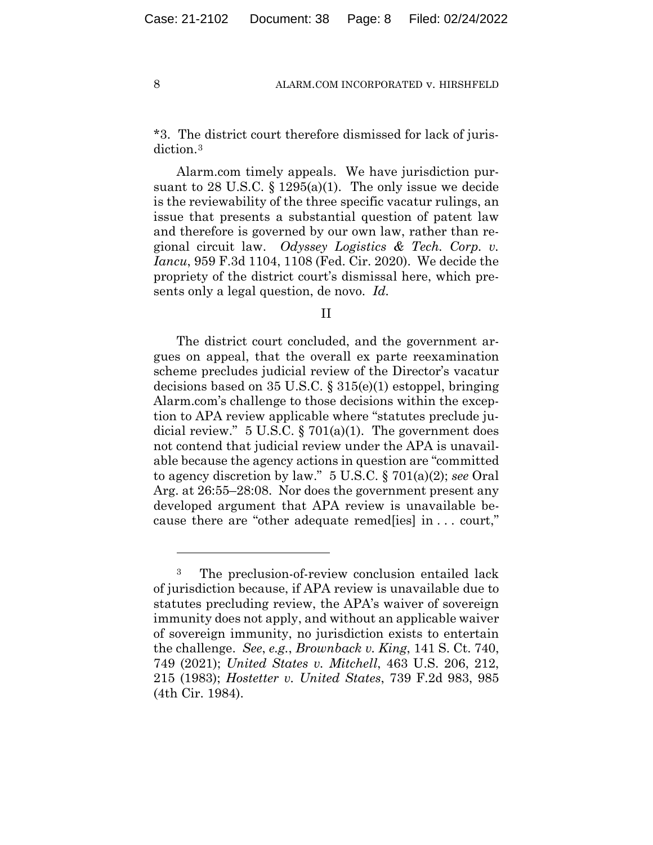\*3. The district court therefore dismissed for lack of jurisdiction.3

Alarm.com timely appeals. We have jurisdiction pursuant to 28 U.S.C.  $\S 1295(a)(1)$ . The only issue we decide is the reviewability of the three specific vacatur rulings, an issue that presents a substantial question of patent law and therefore is governed by our own law, rather than regional circuit law. *Odyssey Logistics & Tech. Corp. v. Iancu*, 959 F.3d 1104, 1108 (Fed. Cir. 2020). We decide the propriety of the district court's dismissal here, which presents only a legal question, de novo. *Id.*

II

The district court concluded, and the government argues on appeal, that the overall ex parte reexamination scheme precludes judicial review of the Director's vacatur decisions based on 35 U.S.C. § 315(e)(1) estoppel, bringing Alarm.com's challenge to those decisions within the exception to APA review applicable where "statutes preclude judicial review."  $5 \text{ U.S.C.}$  §  $701(a)(1)$ . The government does not contend that judicial review under the APA is unavailable because the agency actions in question are "committed to agency discretion by law." 5 U.S.C. § 701(a)(2); *see* Oral Arg. at 26:55–28:08. Nor does the government present any developed argument that APA review is unavailable because there are "other adequate remed[ies] in . . . court,"

<sup>&</sup>lt;sup>3</sup> The preclusion-of-review conclusion entailed lack of jurisdiction because, if APA review is unavailable due to statutes precluding review, the APA's waiver of sovereign immunity does not apply, and without an applicable waiver of sovereign immunity, no jurisdiction exists to entertain the challenge. *See*, *e.g.*, *Brownback v. King*, 141 S. Ct. 740, 749 (2021); *United States v. Mitchell*, 463 U.S. 206, 212, 215 (1983); *Hostetter v. United States*, 739 F.2d 983, 985 (4th Cir. 1984).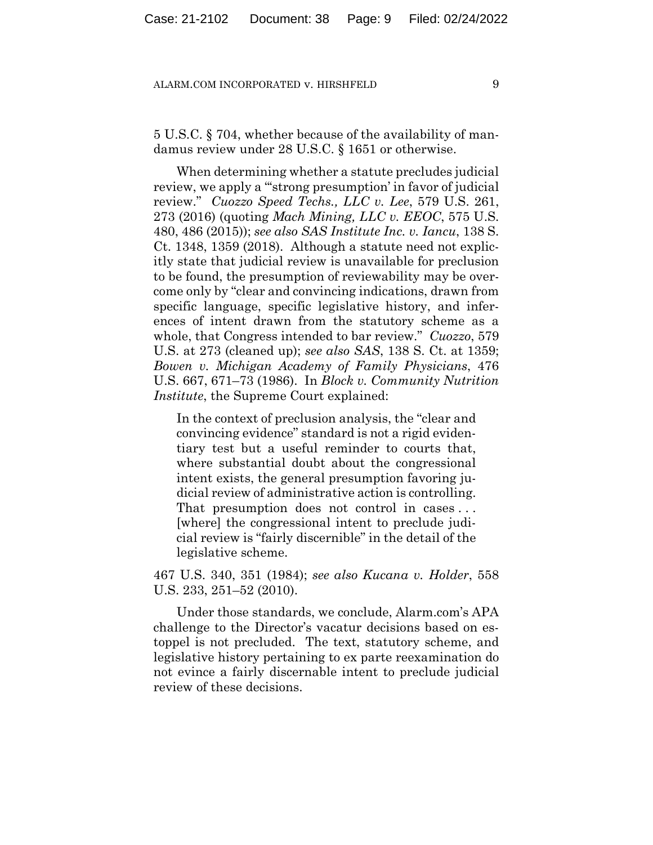5 U.S.C. § 704, whether because of the availability of mandamus review under 28 U.S.C. § 1651 or otherwise.

When determining whether a statute precludes judicial review, we apply a "'strong presumption' in favor of judicial review." *Cuozzo Speed Techs., LLC v. Lee*, 579 U.S. 261, 273 (2016) (quoting *Mach Mining, LLC v. EEOC*, 575 U.S. 480, 486 (2015)); *see also SAS Institute Inc. v. Iancu*, 138 S. Ct. 1348, 1359 (2018). Although a statute need not explicitly state that judicial review is unavailable for preclusion to be found, the presumption of reviewability may be overcome only by "clear and convincing indications, drawn from specific language, specific legislative history, and inferences of intent drawn from the statutory scheme as a whole, that Congress intended to bar review." *Cuozzo*, 579 U.S. at 273 (cleaned up); *see also SAS*, 138 S. Ct. at 1359; *Bowen v. Michigan Academy of Family Physicians*, 476 U.S. 667, 671–73 (1986). In *Block v. Community Nutrition Institute*, the Supreme Court explained:

In the context of preclusion analysis, the "clear and convincing evidence" standard is not a rigid evidentiary test but a useful reminder to courts that, where substantial doubt about the congressional intent exists, the general presumption favoring judicial review of administrative action is controlling. That presumption does not control in cases . . . [where] the congressional intent to preclude judicial review is "fairly discernible" in the detail of the legislative scheme.

467 U.S. 340, 351 (1984); *see also Kucana v. Holder*, 558 U.S. 233, 251–52 (2010).

Under those standards, we conclude, Alarm.com's APA challenge to the Director's vacatur decisions based on estoppel is not precluded. The text, statutory scheme, and legislative history pertaining to ex parte reexamination do not evince a fairly discernable intent to preclude judicial review of these decisions.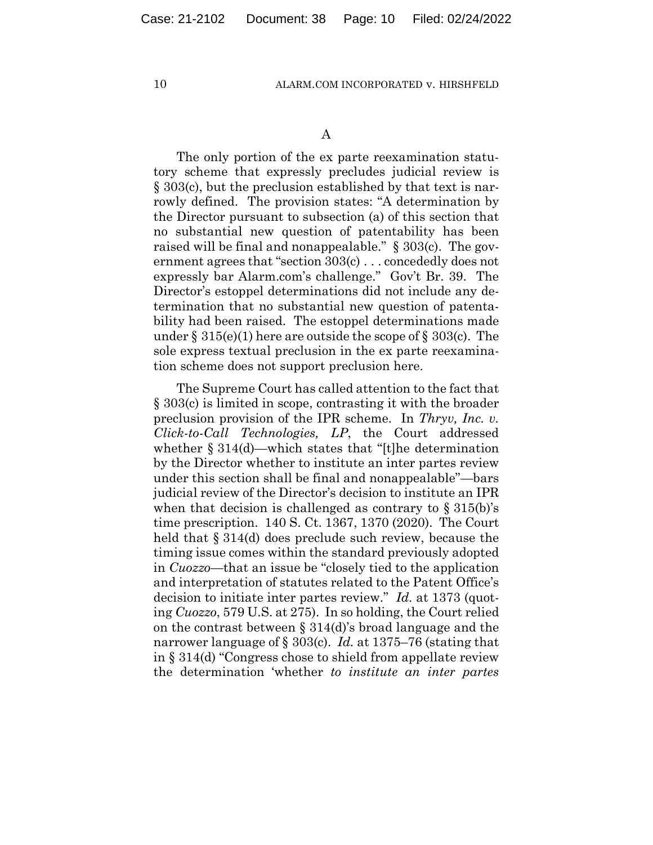The only portion of the ex parte reexamination statutory scheme that expressly precludes judicial review is § 303(c), but the preclusion established by that text is narrowly defined. The provision states: "A determination by the Director pursuant to subsection (a) of this section that no substantial new question of patentability has been raised will be final and nonappealable." § 303(c). The government agrees that "section 303(c) . . . concededly does not expressly bar Alarm.com's challenge." Gov't Br. 39. The Director's estoppel determinations did not include any determination that no substantial new question of patentability had been raised. The estoppel determinations made under  $\S 315(e)(1)$  here are outside the scope of  $\S 303(c)$ . The sole express textual preclusion in the ex parte reexamination scheme does not support preclusion here.

The Supreme Court has called attention to the fact that § 303(c) is limited in scope, contrasting it with the broader preclusion provision of the IPR scheme. In *Thryv, Inc. v. Click-to-Call Technologies, LP*, the Court addressed whether § 314(d)—which states that "[t]he determination by the Director whether to institute an inter partes review under this section shall be final and nonappealable"—bars judicial review of the Director's decision to institute an IPR when that decision is challenged as contrary to  $\S 315(b)$ 's time prescription. 140 S. Ct. 1367, 1370 (2020). The Court held that § 314(d) does preclude such review, because the timing issue comes within the standard previously adopted in *Cuozzo*—that an issue be "closely tied to the application and interpretation of statutes related to the Patent Office's decision to initiate inter partes review." *Id.* at 1373 (quoting *Cuozzo*, 579 U.S. at 275). In so holding, the Court relied on the contrast between § 314(d)'s broad language and the narrower language of § 303(c). *Id.* at 1375–76 (stating that in § 314(d) "Congress chose to shield from appellate review the determination 'whether *to institute an inter partes*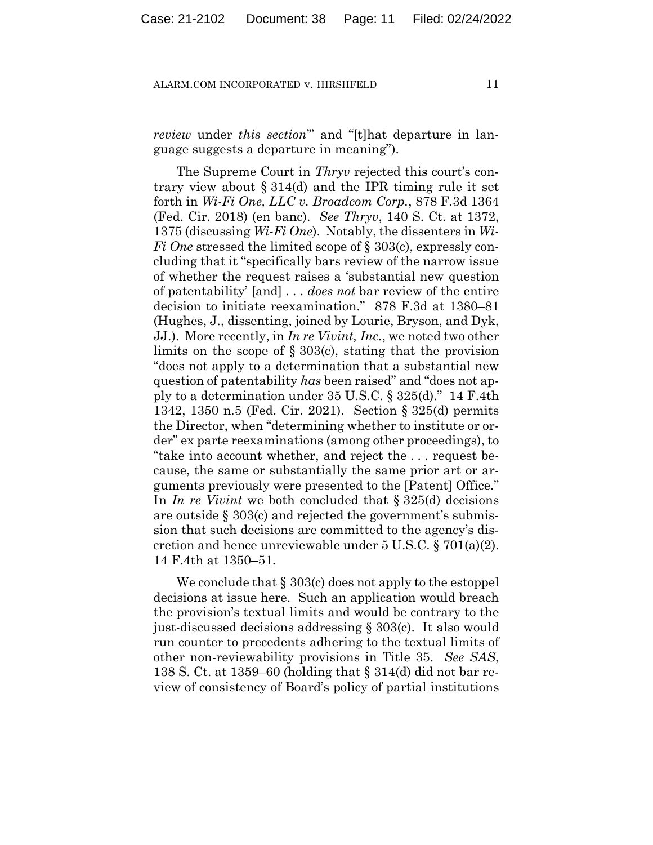*review* under *this section*'" and "[t]hat departure in language suggests a departure in meaning").

The Supreme Court in *Thryv* rejected this court's contrary view about  $\S 314(d)$  and the IPR timing rule it set forth in *Wi-Fi One, LLC v. Broadcom Corp.*, 878 F.3d 1364 (Fed. Cir. 2018) (en banc). *See Thryv*, 140 S. Ct. at 1372, 1375 (discussing *Wi-Fi One*). Notably, the dissenters in *Wi-Fi One* stressed the limited scope of § 303(c), expressly concluding that it "specifically bars review of the narrow issue of whether the request raises a 'substantial new question of patentability' [and] . . . *does not* bar review of the entire decision to initiate reexamination." 878 F.3d at 1380–81 (Hughes, J., dissenting, joined by Lourie, Bryson, and Dyk, JJ.). More recently, in *In re Vivint, Inc.*, we noted two other limits on the scope of § 303(c), stating that the provision "does not apply to a determination that a substantial new question of patentability *has* been raised" and "does not apply to a determination under 35 U.S.C. § 325(d)." 14 F.4th 1342, 1350 n.5 (Fed. Cir. 2021). Section § 325(d) permits the Director, when "determining whether to institute or order" ex parte reexaminations (among other proceedings), to "take into account whether, and reject the . . . request because, the same or substantially the same prior art or arguments previously were presented to the [Patent] Office." In *In re Vivint* we both concluded that § 325(d) decisions are outside  $\S 303(c)$  and rejected the government's submission that such decisions are committed to the agency's discretion and hence unreviewable under 5 U.S.C. § 701(a)(2). 14 F.4th at 1350–51.

We conclude that  $\S 303(c)$  does not apply to the estoppel decisions at issue here. Such an application would breach the provision's textual limits and would be contrary to the just-discussed decisions addressing § 303(c). It also would run counter to precedents adhering to the textual limits of other non-reviewability provisions in Title 35. *See SAS*, 138 S. Ct. at 1359–60 (holding that § 314(d) did not bar review of consistency of Board's policy of partial institutions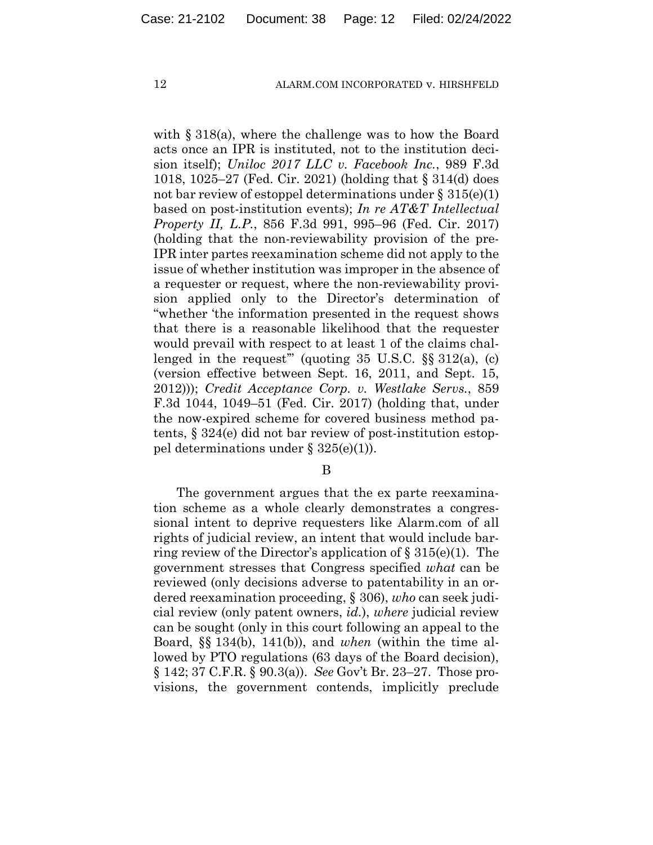with § 318(a), where the challenge was to how the Board acts once an IPR is instituted, not to the institution decision itself); *Uniloc 2017 LLC v. Facebook Inc.*, 989 F.3d 1018, 1025–27 (Fed. Cir. 2021) (holding that § 314(d) does not bar review of estoppel determinations under  $\S 315(e)(1)$ based on post-institution events); *In re AT&T Intellectual Property II, L.P.*, 856 F.3d 991, 995–96 (Fed. Cir. 2017) (holding that the non-reviewability provision of the pre-IPR inter partes reexamination scheme did not apply to the issue of whether institution was improper in the absence of a requester or request, where the non-reviewability provision applied only to the Director's determination of "whether 'the information presented in the request shows that there is a reasonable likelihood that the requester would prevail with respect to at least 1 of the claims challenged in the request" (quoting  $35 \text{ U.S.C. }$   $\S_{\text{S}} \cdot 312(a)$ , (c) (version effective between Sept. 16, 2011, and Sept. 15, 2012))); *Credit Acceptance Corp. v. Westlake Servs.*, 859 F.3d 1044, 1049–51 (Fed. Cir. 2017) (holding that, under the now-expired scheme for covered business method patents, § 324(e) did not bar review of post-institution estoppel determinations under § 325(e)(1)).

B

The government argues that the ex parte reexamination scheme as a whole clearly demonstrates a congressional intent to deprive requesters like Alarm.com of all rights of judicial review, an intent that would include barring review of the Director's application of  $\S 315(e)(1)$ . The government stresses that Congress specified *what* can be reviewed (only decisions adverse to patentability in an ordered reexamination proceeding, § 306), *who* can seek judicial review (only patent owners, *id.*), *where* judicial review can be sought (only in this court following an appeal to the Board, §§ 134(b), 141(b)), and *when* (within the time allowed by PTO regulations (63 days of the Board decision), § 142; 37 C.F.R. § 90.3(a)). *See* Gov't Br. 23–27. Those provisions, the government contends, implicitly preclude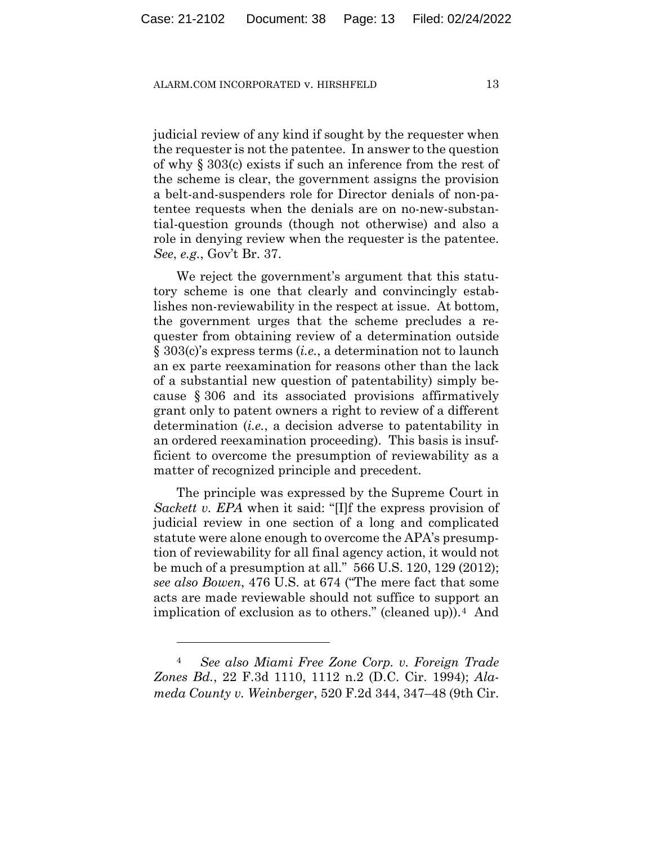judicial review of any kind if sought by the requester when the requester is not the patentee. In answer to the question of why § 303(c) exists if such an inference from the rest of the scheme is clear, the government assigns the provision a belt-and-suspenders role for Director denials of non-patentee requests when the denials are on no-new-substantial-question grounds (though not otherwise) and also a role in denying review when the requester is the patentee. *See*, *e.g.*, Gov't Br. 37.

We reject the government's argument that this statutory scheme is one that clearly and convincingly establishes non-reviewability in the respect at issue. At bottom, the government urges that the scheme precludes a requester from obtaining review of a determination outside § 303(c)'s express terms (*i.e.*, a determination not to launch an ex parte reexamination for reasons other than the lack of a substantial new question of patentability) simply because § 306 and its associated provisions affirmatively grant only to patent owners a right to review of a different determination (*i.e.*, a decision adverse to patentability in an ordered reexamination proceeding). This basis is insufficient to overcome the presumption of reviewability as a matter of recognized principle and precedent.

The principle was expressed by the Supreme Court in *Sackett v. EPA* when it said: "[I]f the express provision of judicial review in one section of a long and complicated statute were alone enough to overcome the APA's presumption of reviewability for all final agency action, it would not be much of a presumption at all." 566 U.S. 120, 129 (2012); *see also Bowen*, 476 U.S. at 674 ("The mere fact that some acts are made reviewable should not suffice to support an implication of exclusion as to others." (cleaned up)). $4$  And

<sup>4</sup> *See also Miami Free Zone Corp. v. Foreign Trade Zones Bd.*, 22 F.3d 1110, 1112 n.2 (D.C. Cir. 1994); *Alameda County v. Weinberger*, 520 F.2d 344, 347–48 (9th Cir.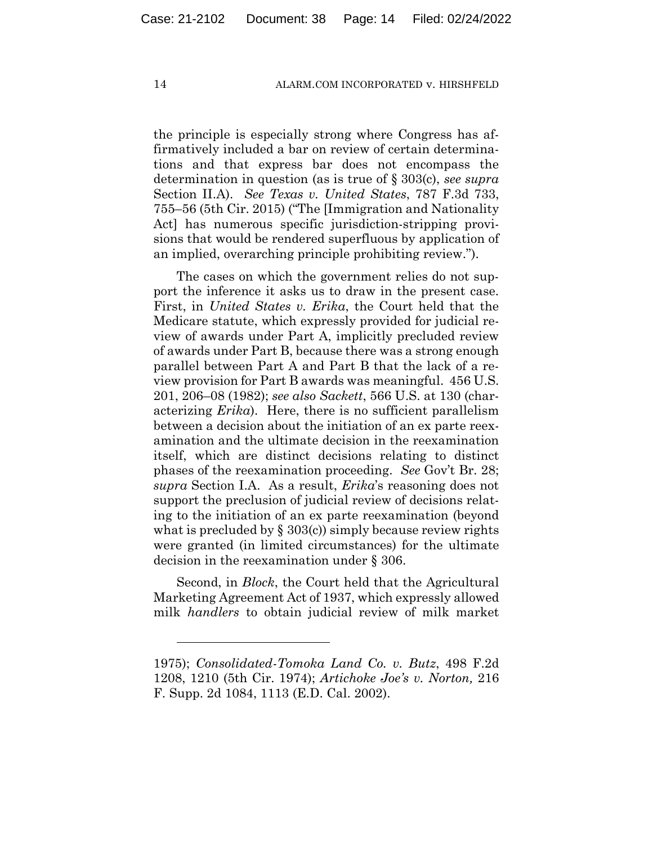the principle is especially strong where Congress has affirmatively included a bar on review of certain determinations and that express bar does not encompass the determination in question (as is true of § 303(c), *see supra*  Section II.A). *See Texas v. United States*, 787 F.3d 733, 755–56 (5th Cir. 2015) ("The [Immigration and Nationality Act] has numerous specific jurisdiction-stripping provisions that would be rendered superfluous by application of an implied, overarching principle prohibiting review.").

The cases on which the government relies do not support the inference it asks us to draw in the present case. First, in *United States v. Erika*, the Court held that the Medicare statute, which expressly provided for judicial review of awards under Part A, implicitly precluded review of awards under Part B, because there was a strong enough parallel between Part A and Part B that the lack of a review provision for Part B awards was meaningful. 456 U.S. 201, 206–08 (1982); *see also Sackett*, 566 U.S. at 130 (characterizing *Erika*). Here, there is no sufficient parallelism between a decision about the initiation of an ex parte reexamination and the ultimate decision in the reexamination itself, which are distinct decisions relating to distinct phases of the reexamination proceeding. *See* Gov't Br. 28; *supra* Section I.A. As a result, *Erika*'s reasoning does not support the preclusion of judicial review of decisions relating to the initiation of an ex parte reexamination (beyond what is precluded by  $\S 303(c)$  simply because review rights were granted (in limited circumstances) for the ultimate decision in the reexamination under § 306.

Second, in *Block*, the Court held that the Agricultural Marketing Agreement Act of 1937, which expressly allowed milk *handlers* to obtain judicial review of milk market

<sup>1975);</sup> *Consolidated-Tomoka Land Co. v. Butz*, 498 F.2d 1208, 1210 (5th Cir. 1974); *Artichoke Joe's v. Norton,* 216 F. Supp. 2d 1084, 1113 (E.D. Cal. 2002).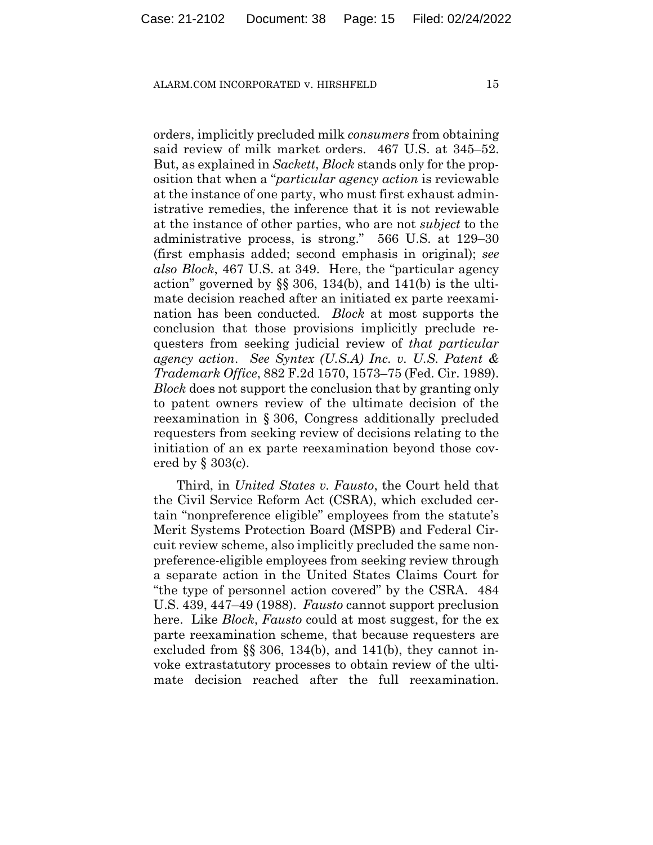orders, implicitly precluded milk *consumers* from obtaining said review of milk market orders. 467 U.S. at 345–52. But, as explained in *Sackett*, *Block* stands only for the proposition that when a "*particular agency action* is reviewable at the instance of one party, who must first exhaust administrative remedies, the inference that it is not reviewable at the instance of other parties, who are not *subject* to the administrative process, is strong." 566 U.S. at 129–30 (first emphasis added; second emphasis in original); *see also Block*, 467 U.S. at 349. Here, the "particular agency action" governed by  $\S$ § 306, 134(b), and 141(b) is the ultimate decision reached after an initiated ex parte reexamination has been conducted. *Block* at most supports the conclusion that those provisions implicitly preclude requesters from seeking judicial review of *that particular agency action*. *See Syntex (U.S.A) Inc. v. U.S. Patent & Trademark Office*, 882 F.2d 1570, 1573–75 (Fed. Cir. 1989). *Block* does not support the conclusion that by granting only to patent owners review of the ultimate decision of the reexamination in § 306, Congress additionally precluded requesters from seeking review of decisions relating to the initiation of an ex parte reexamination beyond those covered by § 303(c).

Third, in *United States v. Fausto*, the Court held that the Civil Service Reform Act (CSRA), which excluded certain "nonpreference eligible" employees from the statute's Merit Systems Protection Board (MSPB) and Federal Circuit review scheme, also implicitly precluded the same nonpreference-eligible employees from seeking review through a separate action in the United States Claims Court for "the type of personnel action covered" by the CSRA. 484 U.S. 439, 447–49 (1988). *Fausto* cannot support preclusion here. Like *Block*, *Fausto* could at most suggest, for the ex parte reexamination scheme, that because requesters are excluded from  $\S$ § 306, 134(b), and 141(b), they cannot invoke extrastatutory processes to obtain review of the ultimate decision reached after the full reexamination.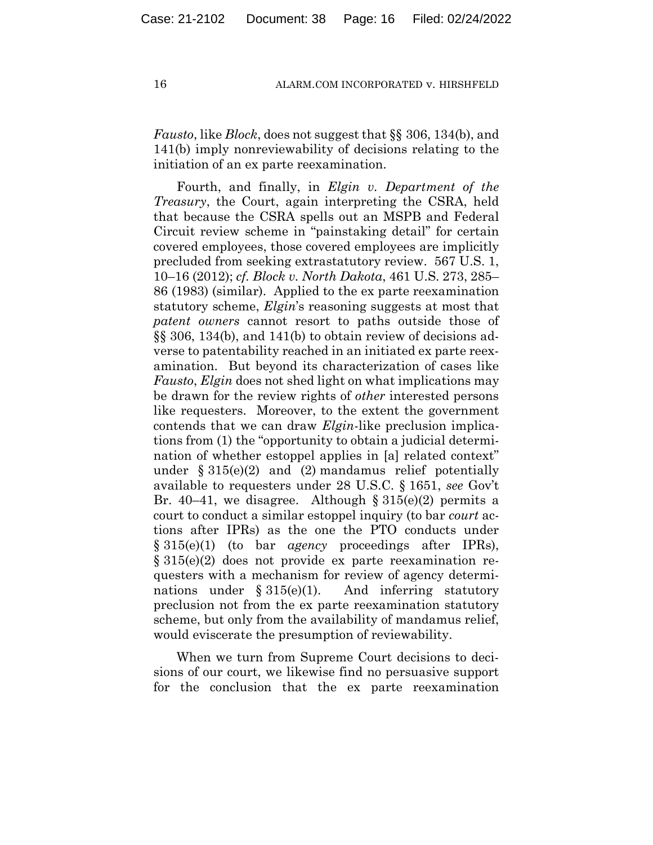*Fausto*, like *Block*, does not suggest that §§ 306, 134(b), and 141(b) imply nonreviewability of decisions relating to the initiation of an ex parte reexamination.

Fourth, and finally, in *Elgin v. Department of the Treasury*, the Court, again interpreting the CSRA, held that because the CSRA spells out an MSPB and Federal Circuit review scheme in "painstaking detail" for certain covered employees, those covered employees are implicitly precluded from seeking extrastatutory review. 567 U.S. 1, 10–16 (2012); *cf. Block v. North Dakota*, 461 U.S. 273, 285– 86 (1983) (similar). Applied to the ex parte reexamination statutory scheme, *Elgin*'s reasoning suggests at most that *patent owners* cannot resort to paths outside those of §§ 306, 134(b), and 141(b) to obtain review of decisions adverse to patentability reached in an initiated ex parte reexamination. But beyond its characterization of cases like *Fausto*, *Elgin* does not shed light on what implications may be drawn for the review rights of *other* interested persons like requesters. Moreover, to the extent the government contends that we can draw *Elgin*-like preclusion implications from (1) the "opportunity to obtain a judicial determination of whether estoppel applies in [a] related context" under  $\S 315(e)(2)$  and (2) mandamus relief potentially available to requesters under 28 U.S.C. § 1651, *see* Gov't Br. 40–41, we disagree. Although  $\S 315(e)(2)$  permits a court to conduct a similar estoppel inquiry (to bar *court* actions after IPRs) as the one the PTO conducts under § 315(e)(1) (to bar *agency* proceedings after IPRs), § 315(e)(2) does not provide ex parte reexamination requesters with a mechanism for review of agency determinations under  $§ 315(e)(1)$ . And inferring statutory preclusion not from the ex parte reexamination statutory scheme, but only from the availability of mandamus relief, would eviscerate the presumption of reviewability.

When we turn from Supreme Court decisions to decisions of our court, we likewise find no persuasive support for the conclusion that the ex parte reexamination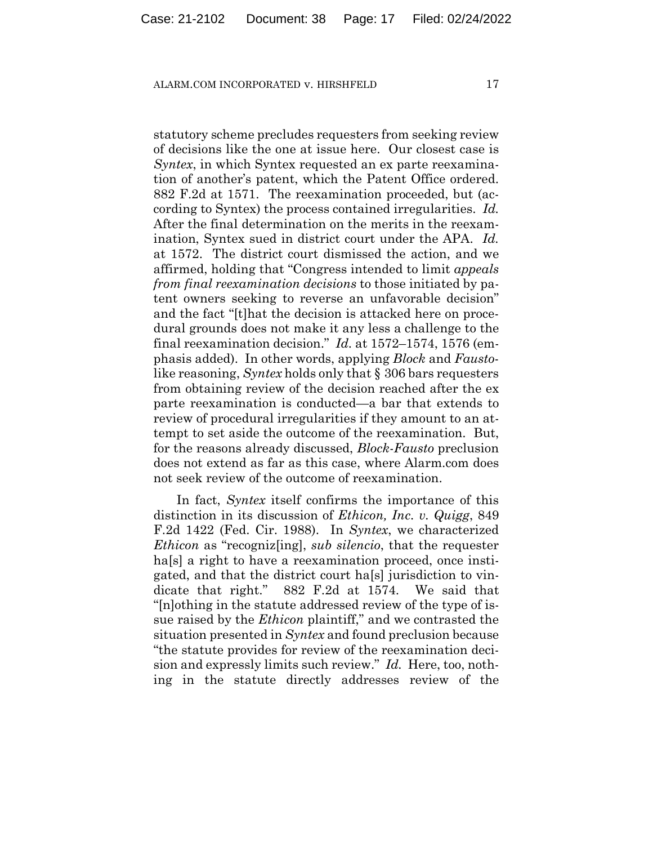statutory scheme precludes requesters from seeking review of decisions like the one at issue here. Our closest case is *Syntex*, in which Syntex requested an ex parte reexamination of another's patent, which the Patent Office ordered. 882 F.2d at 1571. The reexamination proceeded, but (according to Syntex) the process contained irregularities. *Id.* After the final determination on the merits in the reexamination, Syntex sued in district court under the APA. *Id.* at 1572. The district court dismissed the action, and we affirmed, holding that "Congress intended to limit *appeals from final reexamination decisions* to those initiated by patent owners seeking to reverse an unfavorable decision" and the fact "[t]hat the decision is attacked here on procedural grounds does not make it any less a challenge to the final reexamination decision." *Id.* at 1572–1574, 1576 (emphasis added). In other words, applying *Block* and *Fausto*like reasoning, *Syntex* holds only that § 306 bars requesters from obtaining review of the decision reached after the ex parte reexamination is conducted—a bar that extends to review of procedural irregularities if they amount to an attempt to set aside the outcome of the reexamination. But, for the reasons already discussed, *Block*-*Fausto* preclusion does not extend as far as this case, where Alarm.com does not seek review of the outcome of reexamination.

In fact, *Syntex* itself confirms the importance of this distinction in its discussion of *Ethicon, Inc. v. Quigg*, 849 F.2d 1422 (Fed. Cir. 1988). In *Syntex*, we characterized *Ethicon* as "recogniz[ing], *sub silencio*, that the requester ha<sup>[s]</sup> a right to have a reexamination proceed, once instigated, and that the district court ha[s] jurisdiction to vindicate that right." 882 F.2d at 1574. We said that "[n]othing in the statute addressed review of the type of issue raised by the *Ethicon* plaintiff," and we contrasted the situation presented in *Syntex* and found preclusion because "the statute provides for review of the reexamination decision and expressly limits such review." *Id.* Here, too, nothing in the statute directly addresses review of the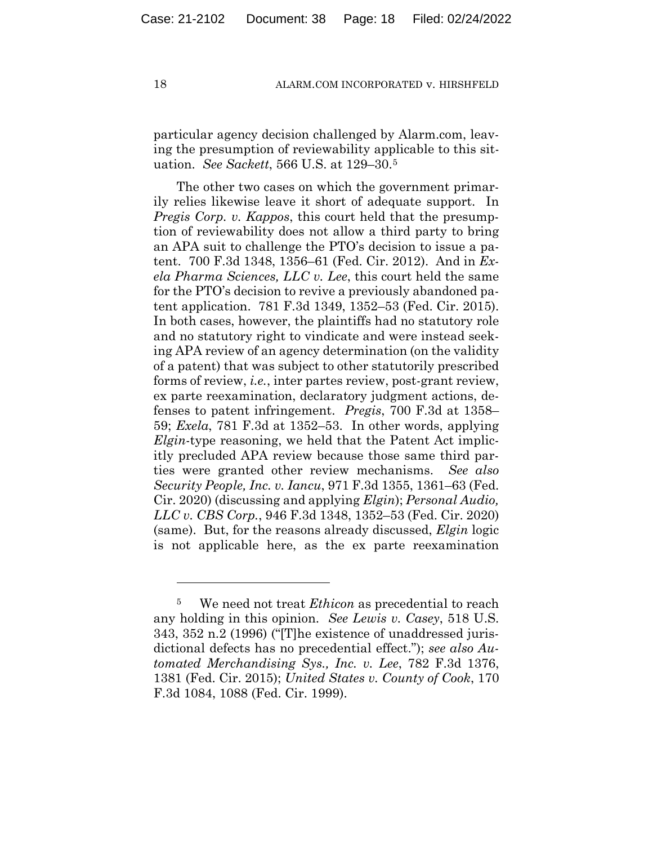particular agency decision challenged by Alarm.com, leaving the presumption of reviewability applicable to this situation. *See Sackett*, 566 U.S. at 129–30.5

The other two cases on which the government primarily relies likewise leave it short of adequate support. In *Pregis Corp. v. Kappos*, this court held that the presumption of reviewability does not allow a third party to bring an APA suit to challenge the PTO's decision to issue a patent. 700 F.3d 1348, 1356–61 (Fed. Cir. 2012). And in *Exela Pharma Sciences, LLC v. Lee*, this court held the same for the PTO's decision to revive a previously abandoned patent application. 781 F.3d 1349, 1352–53 (Fed. Cir. 2015). In both cases, however, the plaintiffs had no statutory role and no statutory right to vindicate and were instead seeking APA review of an agency determination (on the validity of a patent) that was subject to other statutorily prescribed forms of review, *i.e.*, inter partes review, post-grant review, ex parte reexamination, declaratory judgment actions, defenses to patent infringement. *Pregis*, 700 F.3d at 1358– 59; *Exela*, 781 F.3d at 1352–53. In other words, applying *Elgin*-type reasoning, we held that the Patent Act implicitly precluded APA review because those same third parties were granted other review mechanisms. *See also Security People, Inc. v. Iancu*, 971 F.3d 1355, 1361–63 (Fed. Cir. 2020) (discussing and applying *Elgin*); *Personal Audio, LLC v. CBS Corp.*, 946 F.3d 1348, 1352–53 (Fed. Cir. 2020) (same). But, for the reasons already discussed, *Elgin* logic is not applicable here, as the ex parte reexamination

<sup>5</sup> We need not treat *Ethicon* as precedential to reach any holding in this opinion. *See Lewis v. Casey*, 518 U.S. 343, 352 n.2 (1996) ("[T]he existence of unaddressed jurisdictional defects has no precedential effect."); *see also Automated Merchandising Sys., Inc. v. Lee*, 782 F.3d 1376, 1381 (Fed. Cir. 2015); *United States v. County of Cook*, 170 F.3d 1084, 1088 (Fed. Cir. 1999).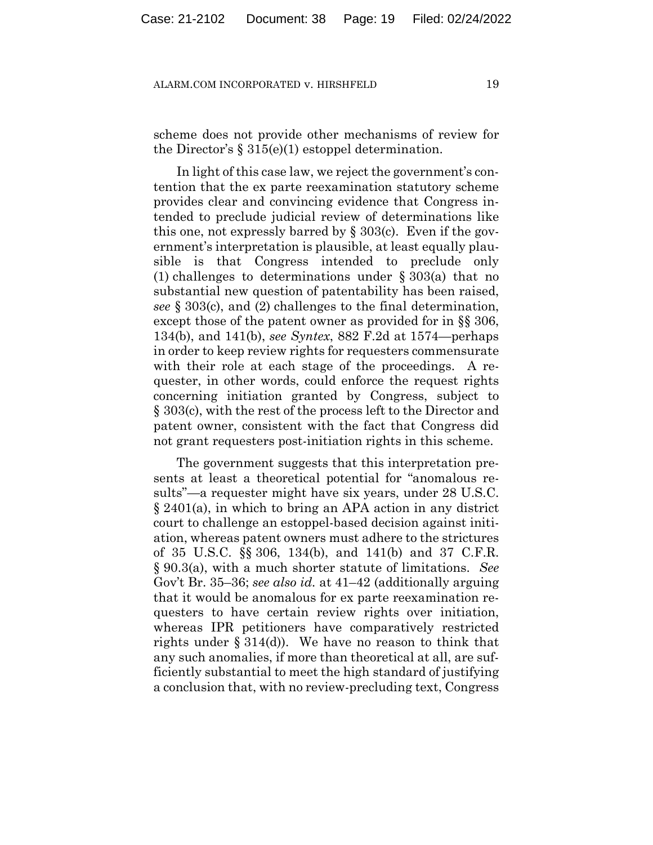scheme does not provide other mechanisms of review for the Director's  $\S 315(e)(1)$  estoppel determination.

In light of this case law, we reject the government's contention that the ex parte reexamination statutory scheme provides clear and convincing evidence that Congress intended to preclude judicial review of determinations like this one, not expressly barred by § 303(c). Even if the government's interpretation is plausible, at least equally plausible is that Congress intended to preclude only (1) challenges to determinations under § 303(a) that no substantial new question of patentability has been raised, *see* § 303(c), and (2) challenges to the final determination, except those of the patent owner as provided for in §§ 306, 134(b), and 141(b), *see Syntex*, 882 F.2d at 1574—perhaps in order to keep review rights for requesters commensurate with their role at each stage of the proceedings. A requester, in other words, could enforce the request rights concerning initiation granted by Congress, subject to § 303(c), with the rest of the process left to the Director and patent owner, consistent with the fact that Congress did not grant requesters post-initiation rights in this scheme.

The government suggests that this interpretation presents at least a theoretical potential for "anomalous results"—a requester might have six years, under 28 U.S.C. § 2401(a), in which to bring an APA action in any district court to challenge an estoppel-based decision against initiation, whereas patent owners must adhere to the strictures of 35 U.S.C. §§ 306, 134(b), and 141(b) and 37 C.F.R. § 90.3(a), with a much shorter statute of limitations. *See*  Gov't Br. 35–36; *see also id.* at 41–42 (additionally arguing that it would be anomalous for ex parte reexamination requesters to have certain review rights over initiation, whereas IPR petitioners have comparatively restricted rights under § 314(d)). We have no reason to think that any such anomalies, if more than theoretical at all, are sufficiently substantial to meet the high standard of justifying a conclusion that, with no review-precluding text, Congress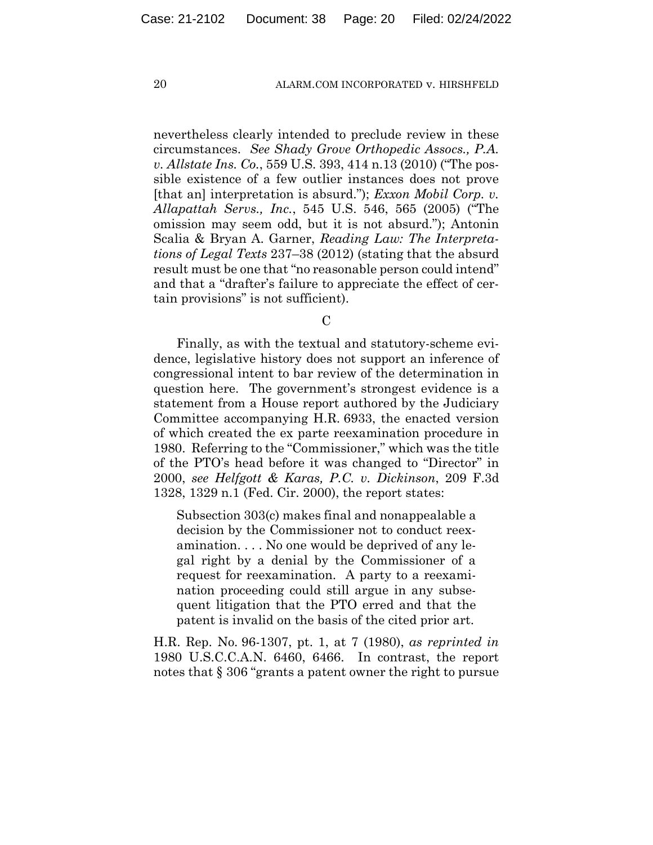nevertheless clearly intended to preclude review in these circumstances. *See Shady Grove Orthopedic Assocs., P.A. v. Allstate Ins. Co.*, 559 U.S. 393, 414 n.13 (2010) ("The possible existence of a few outlier instances does not prove [that an] interpretation is absurd."); *Exxon Mobil Corp. v. Allapattah Servs., Inc.*, 545 U.S. 546, 565 (2005) ("The omission may seem odd, but it is not absurd."); Antonin Scalia & Bryan A. Garner, *Reading Law: The Interpretations of Legal Texts* 237–38 (2012) (stating that the absurd result must be one that "no reasonable person could intend" and that a "drafter's failure to appreciate the effect of certain provisions" is not sufficient).

 $\mathcal{C}$ 

Finally, as with the textual and statutory-scheme evidence, legislative history does not support an inference of congressional intent to bar review of the determination in question here. The government's strongest evidence is a statement from a House report authored by the Judiciary Committee accompanying H.R. 6933, the enacted version of which created the ex parte reexamination procedure in 1980. Referring to the "Commissioner," which was the title of the PTO's head before it was changed to "Director" in 2000, *see Helfgott & Karas, P.C. v. Dickinson*, 209 F.3d 1328, 1329 n.1 (Fed. Cir. 2000), the report states:

Subsection 303(c) makes final and nonappealable a decision by the Commissioner not to conduct reexamination. . . . No one would be deprived of any legal right by a denial by the Commissioner of a request for reexamination. A party to a reexamination proceeding could still argue in any subsequent litigation that the PTO erred and that the patent is invalid on the basis of the cited prior art.

H.R. Rep. No. 96-1307, pt. 1, at 7 (1980), *as reprinted in*  1980 U.S.C.C.A.N. 6460, 6466. In contrast, the report notes that § 306 "grants a patent owner the right to pursue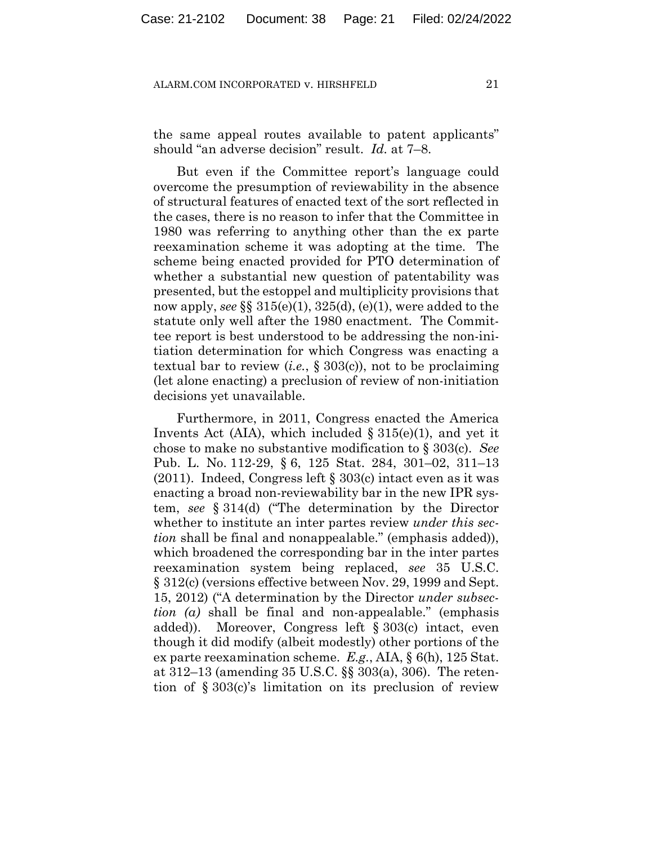the same appeal routes available to patent applicants" should "an adverse decision" result. *Id.* at 7–8.

But even if the Committee report's language could overcome the presumption of reviewability in the absence of structural features of enacted text of the sort reflected in the cases, there is no reason to infer that the Committee in 1980 was referring to anything other than the ex parte reexamination scheme it was adopting at the time. The scheme being enacted provided for PTO determination of whether a substantial new question of patentability was presented, but the estoppel and multiplicity provisions that now apply, *see* §§ 315(e)(1), 325(d), (e)(1), were added to the statute only well after the 1980 enactment. The Committee report is best understood to be addressing the non-initiation determination for which Congress was enacting a textual bar to review (*i.e.*, § 303(c)), not to be proclaiming (let alone enacting) a preclusion of review of non-initiation decisions yet unavailable.

Furthermore, in 2011, Congress enacted the America Invents Act (AIA), which included  $\S 315(e)(1)$ , and yet it chose to make no substantive modification to § 303(c). *See*  Pub. L. No. 112-29, § 6, 125 Stat. 284, 301–02, 311–13 (2011). Indeed, Congress left § 303(c) intact even as it was enacting a broad non-reviewability bar in the new IPR system, *see* § 314(d) ("The determination by the Director whether to institute an inter partes review *under this section* shall be final and nonappealable." (emphasis added)), which broadened the corresponding bar in the inter partes reexamination system being replaced, *see* 35 U.S.C. § 312(c) (versions effective between Nov. 29, 1999 and Sept. 15, 2012) ("A determination by the Director *under subsection (a)* shall be final and non-appealable." (emphasis added)). Moreover, Congress left § 303(c) intact, even though it did modify (albeit modestly) other portions of the ex parte reexamination scheme. *E.g.*, AIA, § 6(h), 125 Stat. at 312–13 (amending 35 U.S.C. §§ 303(a), 306). The retention of § 303(c)'s limitation on its preclusion of review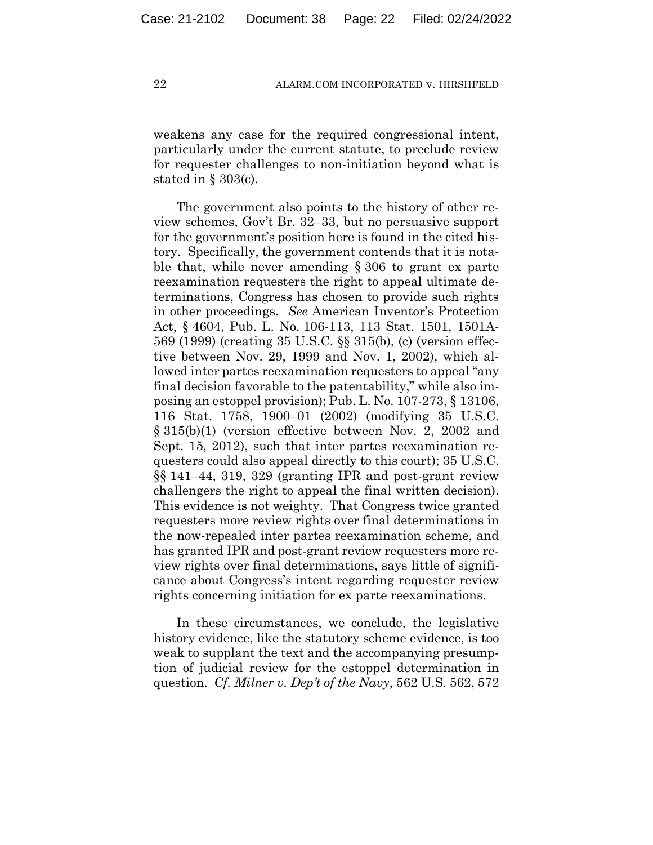weakens any case for the required congressional intent, particularly under the current statute, to preclude review for requester challenges to non-initiation beyond what is stated in § 303(c).

The government also points to the history of other review schemes, Gov't Br. 32–33, but no persuasive support for the government's position here is found in the cited history. Specifically, the government contends that it is notable that, while never amending § 306 to grant ex parte reexamination requesters the right to appeal ultimate determinations, Congress has chosen to provide such rights in other proceedings. *See* American Inventor's Protection Act, § 4604, Pub. L. No. 106-113, 113 Stat. 1501, 1501A-569 (1999) (creating 35 U.S.C. §§ 315(b), (c) (version effective between Nov. 29, 1999 and Nov. 1, 2002), which allowed inter partes reexamination requesters to appeal "any final decision favorable to the patentability," while also imposing an estoppel provision); Pub. L. No. 107-273, § 13106, 116 Stat. 1758, 1900–01 (2002) (modifying 35 U.S.C. § 315(b)(1) (version effective between Nov. 2, 2002 and Sept. 15, 2012), such that inter partes reexamination requesters could also appeal directly to this court); 35 U.S.C. §§ 141–44, 319, 329 (granting IPR and post-grant review challengers the right to appeal the final written decision). This evidence is not weighty. That Congress twice granted requesters more review rights over final determinations in the now-repealed inter partes reexamination scheme, and has granted IPR and post-grant review requesters more review rights over final determinations, says little of significance about Congress's intent regarding requester review rights concerning initiation for ex parte reexaminations.

In these circumstances, we conclude, the legislative history evidence, like the statutory scheme evidence, is too weak to supplant the text and the accompanying presumption of judicial review for the estoppel determination in question. *Cf. Milner v. Dep't of the Navy*, 562 U.S. 562, 572